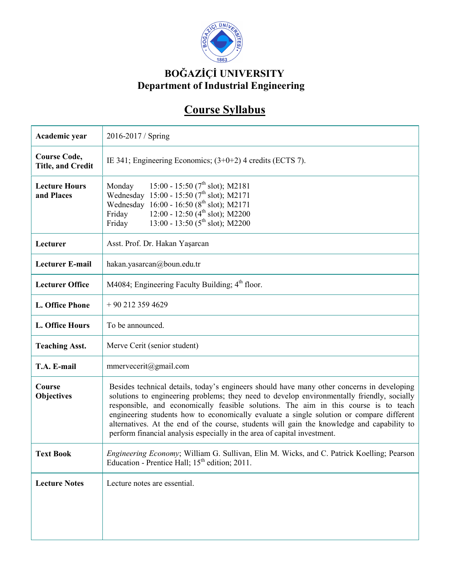

## **BOĞAZİÇİ UNIVERSITY Department of Industrial Engineering**

## **Course Syllabus**

| Academic year                                   | 2016-2017 / Spring                                                                                                                                                                                                                                                                                                                                                                                                                                                                                                                                     |
|-------------------------------------------------|--------------------------------------------------------------------------------------------------------------------------------------------------------------------------------------------------------------------------------------------------------------------------------------------------------------------------------------------------------------------------------------------------------------------------------------------------------------------------------------------------------------------------------------------------------|
| <b>Course Code,</b><br><b>Title, and Credit</b> | IE 341; Engineering Economics; $(3+0+2)$ 4 credits (ECTS 7).                                                                                                                                                                                                                                                                                                                                                                                                                                                                                           |
| <b>Lecture Hours</b><br>and Places              | 15:00 - 15:50 ( $7^{\text{th}}$ slot); M2181<br>Monday<br>Wednesday 15:00 - 15:50 (7 <sup>th</sup> slot); M2171<br>Wednesday 16:00 - 16:50 (8 <sup>th</sup> slot); M2171<br>12:00 - 12:50 $(4th slot)$ ; M2200<br>Friday<br>13:00 - 13:50 ( $5^{\text{th}}$ slot); M2200<br>Friday                                                                                                                                                                                                                                                                     |
| Lecturer                                        | Asst. Prof. Dr. Hakan Yaşarcan                                                                                                                                                                                                                                                                                                                                                                                                                                                                                                                         |
| <b>Lecturer E-mail</b>                          | hakan.yasarcan@boun.edu.tr                                                                                                                                                                                                                                                                                                                                                                                                                                                                                                                             |
| <b>Lecturer Office</b>                          | M4084; Engineering Faculty Building; 4 <sup>th</sup> floor.                                                                                                                                                                                                                                                                                                                                                                                                                                                                                            |
| L. Office Phone                                 | $+90$ 212 359 4629                                                                                                                                                                                                                                                                                                                                                                                                                                                                                                                                     |
| L. Office Hours                                 | To be announced.                                                                                                                                                                                                                                                                                                                                                                                                                                                                                                                                       |
| <b>Teaching Asst.</b>                           | Merve Cerit (senior student)                                                                                                                                                                                                                                                                                                                                                                                                                                                                                                                           |
| T.A. E-mail                                     | mmervecerit@gmail.com                                                                                                                                                                                                                                                                                                                                                                                                                                                                                                                                  |
| Course<br><b>Objectives</b>                     | Besides technical details, today's engineers should have many other concerns in developing<br>solutions to engineering problems; they need to develop environmentally friendly, socially<br>responsible, and economically feasible solutions. The aim in this course is to teach<br>engineering students how to economically evaluate a single solution or compare different<br>alternatives. At the end of the course, students will gain the knowledge and capability to<br>perform financial analysis especially in the area of capital investment. |
| <b>Text Book</b>                                | Engineering Economy; William G. Sullivan, Elin M. Wicks, and C. Patrick Koelling; Pearson<br>Education - Prentice Hall; 15 <sup>th</sup> edition; 2011.                                                                                                                                                                                                                                                                                                                                                                                                |
| <b>Lecture Notes</b>                            | Lecture notes are essential.                                                                                                                                                                                                                                                                                                                                                                                                                                                                                                                           |
|                                                 |                                                                                                                                                                                                                                                                                                                                                                                                                                                                                                                                                        |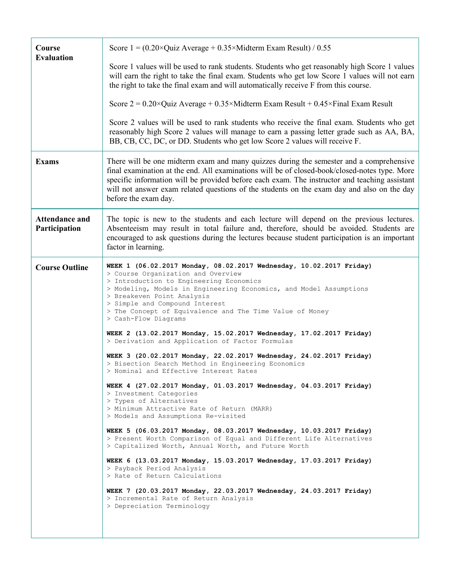| Course                                 | Score $1 = (0.20 \times Q$ uiz Average + 0.35×Midterm Exam Result) / 0.55                                                                                                                                                                                                                                                                                                                                       |
|----------------------------------------|-----------------------------------------------------------------------------------------------------------------------------------------------------------------------------------------------------------------------------------------------------------------------------------------------------------------------------------------------------------------------------------------------------------------|
| <b>Evaluation</b>                      | Score 1 values will be used to rank students. Students who get reasonably high Score 1 values<br>will earn the right to take the final exam. Students who get low Score 1 values will not earn<br>the right to take the final exam and will automatically receive F from this course.                                                                                                                           |
|                                        | Score $2 = 0.20 \times$ Quiz Average + 0.35×Midterm Exam Result + 0.45×Final Exam Result                                                                                                                                                                                                                                                                                                                        |
|                                        | Score 2 values will be used to rank students who receive the final exam. Students who get<br>reasonably high Score 2 values will manage to earn a passing letter grade such as AA, BA,<br>BB, CB, CC, DC, or DD. Students who get low Score 2 values will receive F.                                                                                                                                            |
| <b>Exams</b>                           | There will be one midterm exam and many quizzes during the semester and a comprehensive<br>final examination at the end. All examinations will be of closed-book/closed-notes type. More<br>specific information will be provided before each exam. The instructor and teaching assistant<br>will not answer exam related questions of the students on the exam day and also on the day<br>before the exam day. |
| <b>Attendance and</b><br>Participation | The topic is new to the students and each lecture will depend on the previous lectures.<br>Absenteeism may result in total failure and, therefore, should be avoided. Students are<br>encouraged to ask questions during the lectures because student participation is an important<br>factor in learning.                                                                                                      |
| <b>Course Outline</b>                  | WEEK 1 (06.02.2017 Monday, 08.02.2017 Wednesday, 10.02.2017 Friday)<br>> Course Organization and Overview<br>> Introduction to Engineering Economics<br>> Modeling, Models in Engineering Economics, and Model Assumptions<br>> Breakeven Point Analysis<br>> Simple and Compound Interest<br>> The Concept of Equivalence and The Time Value of Money<br>> Cash-Flow Diagrams                                  |
|                                        | WEEK 2 (13.02.2017 Monday, 15.02.2017 Wednesday, 17.02.2017 Friday)<br>> Derivation and Application of Factor Formulas                                                                                                                                                                                                                                                                                          |
|                                        | WEEK 3 (20.02.2017 Monday, 22.02.2017 Wednesday, 24.02.2017 Friday)<br>> Bisection Search Method in Engineering Economics<br>> Nominal and Effective Interest Rates                                                                                                                                                                                                                                             |
|                                        | WEEK 4 (27.02.2017 Monday, 01.03.2017 Wednesday, 04.03.2017 Friday)<br>> Investment Categories<br>> Types of Alternatives<br>> Minimum Attractive Rate of Return (MARR)<br>> Models and Assumptions Re-visited                                                                                                                                                                                                  |
|                                        | WEEK 5 (06.03.2017 Monday, 08.03.2017 Wednesday, 10.03.2017 Friday)<br>> Present Worth Comparison of Equal and Different Life Alternatives<br>> Capitalized Worth, Annual Worth, and Future Worth                                                                                                                                                                                                               |
|                                        | WEEK 6 (13.03.2017 Monday, 15.03.2017 Wednesday, 17.03.2017 Friday)<br>> Payback Period Analysis<br>> Rate of Return Calculations                                                                                                                                                                                                                                                                               |
|                                        | WEEK 7 (20.03.2017 Monday, 22.03.2017 Wednesday, 24.03.2017 Friday)<br>> Incremental Rate of Return Analysis<br>> Depreciation Terminology                                                                                                                                                                                                                                                                      |
|                                        |                                                                                                                                                                                                                                                                                                                                                                                                                 |